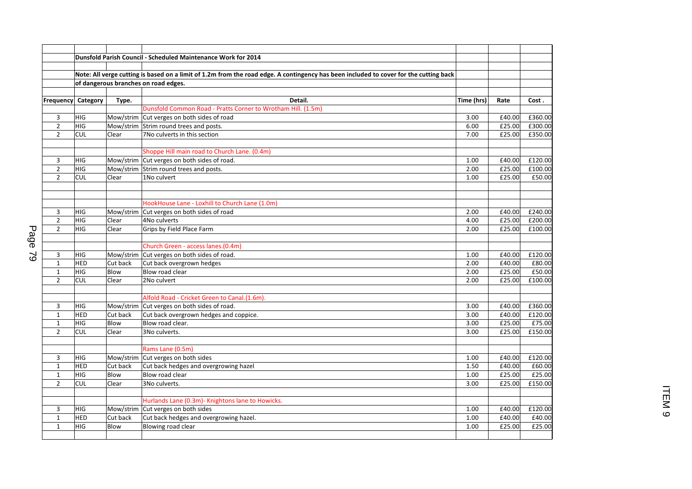|                                |                   |             | <b>Dunsfold Parish Council - Scheduled Maintenance Work for 2014</b>                                                                  |        |         |
|--------------------------------|-------------------|-------------|---------------------------------------------------------------------------------------------------------------------------------------|--------|---------|
|                                |                   |             |                                                                                                                                       |        |         |
|                                |                   |             | Note: All verge cutting is based on a limit of 1.2m from the road edge. A contingency has been included to cover for the cutting back |        |         |
|                                |                   |             | of dangerous branches on road edges.                                                                                                  |        |         |
|                                |                   |             |                                                                                                                                       |        |         |
| Frequency                      | Category          | Type.       | Detail.<br>Time (hrs)                                                                                                                 | Rate   | Cost.   |
|                                |                   |             | Dunsfold Common Road - Pratts Corner to Wrotham Hill. (1.5m)                                                                          |        |         |
| 3                              | HIG               |             | Mow/strim Cut verges on both sides of road<br>3.00                                                                                    | £40.00 | £360.00 |
| $\overline{2}$                 | HIG               |             | Mow/strim Strim round trees and posts.<br>6.00                                                                                        | £25.00 | £300.00 |
| $\overline{2}$                 | <b>CUL</b>        | Clear       | 7No culverts in this section<br>7.00                                                                                                  | £25.00 | £350.00 |
|                                |                   |             |                                                                                                                                       |        |         |
|                                |                   |             | Shoppe Hill main road to Church Lane. (0.4m)                                                                                          |        |         |
| 3                              | <b>HIG</b>        |             | Mow/strim Cut verges on both sides of road.<br>1.00                                                                                   | £40.00 | £120.00 |
| $\overline{2}$                 | <b>HIG</b>        | Mow/strim   | Strim round trees and posts.<br>2.00                                                                                                  | £25.00 | £100.00 |
| $\overline{2}$                 | <b>CUL</b>        | Clear       | 1No culvert<br>1.00                                                                                                                   | £25.00 | £50.00  |
|                                |                   |             |                                                                                                                                       |        |         |
|                                |                   |             | HookHouse Lane - Loxhill to Church Lane (1.0m)                                                                                        |        |         |
| 3                              | HIG               |             | Mow/strim Cut verges on both sides of road<br>2.00                                                                                    | £40.00 | £240.00 |
| $\overline{2}$                 | HIG               | Clear       | 4No culverts<br>4.00                                                                                                                  | £25.00 | £200.00 |
| $\overline{2}$                 | HIG               | Clear       | Grips by Field Place Farm<br>2.00                                                                                                     | £25.00 | £100.00 |
|                                |                   |             |                                                                                                                                       |        |         |
|                                |                   |             | Church Green - access lanes.(0.4m)                                                                                                    |        |         |
| 3                              | <b>HIG</b>        |             | Mow/strim Cut verges on both sides of road.<br>1.00                                                                                   | £40.00 | £120.00 |
| $\mathbf{1}$                   | <b>HED</b>        | Cut back    | Cut back overgrown hedges<br>2.00                                                                                                     | £40.00 | £80.00  |
| $\mathbf{1}$                   | HIG               | Blow        | Blow road clear<br>2.00                                                                                                               | £25.00 | £50.00  |
| $\overline{2}$                 | <b>CUL</b>        | Clear       | 2No culvert<br>2.00                                                                                                                   | £25.00 | £100.00 |
|                                |                   |             |                                                                                                                                       |        |         |
|                                |                   |             | Alfold Road - Cricket Green to Canal.(1.6m).                                                                                          |        |         |
| 3                              | HIG               |             | Mow/strim Cut verges on both sides of road.<br>3.00                                                                                   | £40.00 | £360.00 |
| $\mathbf{1}$                   | <b>HED</b>        | Cut back    | Cut back overgrown hedges and coppice.<br>3.00                                                                                        | £40.00 | £120.00 |
| $1\,$                          | HIG               | <b>Blow</b> | Blow road clear.<br>3.00                                                                                                              | £25.00 | £75.00  |
| $\overline{2}$                 | <b>CUL</b>        | Clear       | 3No culverts.<br>3.00                                                                                                                 | £25.00 | £150.00 |
|                                |                   |             | Rams Lane (0.5m)                                                                                                                      |        |         |
|                                |                   |             |                                                                                                                                       |        |         |
| 3<br>$\mathbf{1}$              | <b>HIG</b><br>HED |             | Mow/strim Cut verges on both sides<br>1.00                                                                                            | £40.00 | £120.00 |
|                                |                   | Cut back    | Cut back hedges and overgrowing hazel<br>1.50<br>Blow road clear                                                                      | £40.00 | £60.00  |
| $\mathbf{1}$<br>$\overline{2}$ | HIG               | Blow        | 1.00                                                                                                                                  | £25.00 | £25.00  |
|                                | <b>CUL</b>        | Clear       | 3No culverts.<br>3.00                                                                                                                 | £25.00 | £150.00 |
|                                |                   |             | Hurlands Lane (0.3m)- Knightons lane to Howicks.                                                                                      |        |         |
| 3                              | HIG               |             | Mow/strim Cut verges on both sides<br>1.00                                                                                            | £40.00 | £120.00 |
| $\mathbf{1}$                   | <b>HED</b>        | Cut back    | Cut back hedges and overgrowing hazel.<br>1.00                                                                                        | £40.00 | £40.00  |
| $\mathbf{1}$                   | HIG               | Blow        | Blowing road clear<br>1.00                                                                                                            | £25.00 | £25.00  |
|                                |                   |             |                                                                                                                                       |        |         |